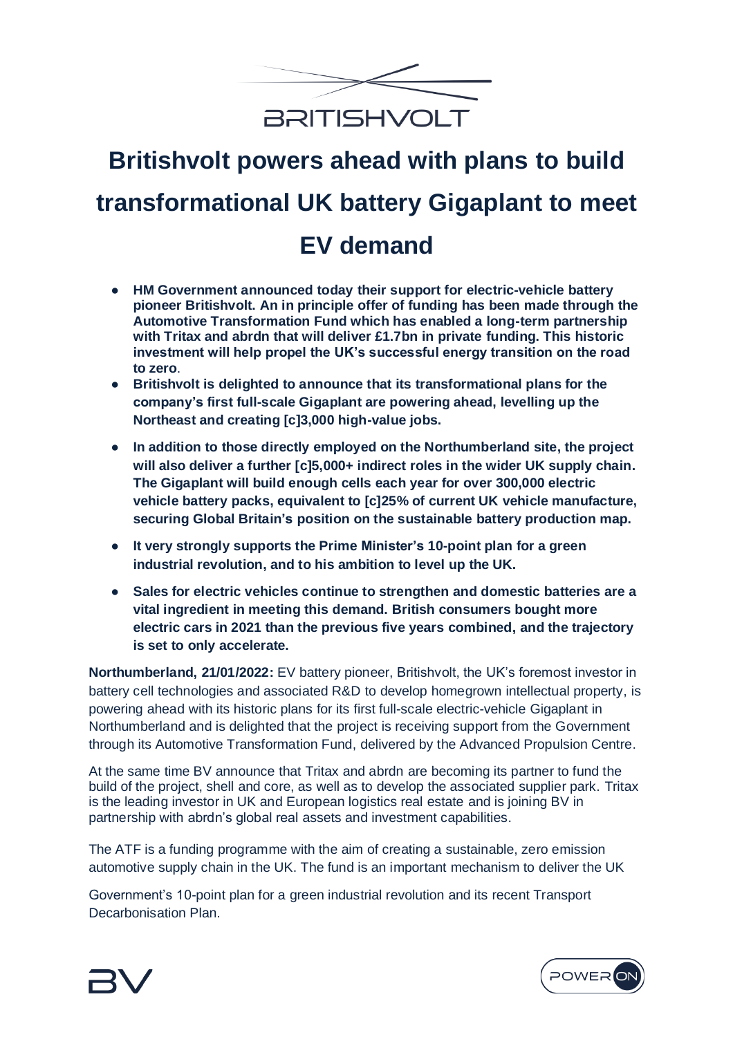

# **Britishvolt powers ahead with plans to build transformational UK battery Gigaplant to meet EV demand**

- **HM Government announced today their support for electric-vehicle battery pioneer Britishvolt. An in principle offer of funding has been made through the Automotive Transformation Fund which has enabled a long-term partnership with Tritax and abrdn that will deliver £1.7bn in private funding. This historic investment will help propel the UK's successful energy transition on the road to zero**.
- **Britishvolt is delighted to announce that its transformational plans for the company's first full-scale Gigaplant are powering ahead, levelling up the Northeast and creating [c]3,000 high-value jobs.**
- **In addition to those directly employed on the Northumberland site, the project will also deliver a further [c]5,000+ indirect roles in the wider UK supply chain. The Gigaplant will build enough cells each year for over 300,000 electric vehicle battery packs, equivalent to [c]25% of current UK vehicle manufacture, securing Global Britain's position on the sustainable battery production map.**
- **It very strongly supports the Prime Minister's 10-point plan for a green industrial revolution, and to his ambition to level up the UK.**
- **Sales for electric vehicles continue to strengthen and domestic batteries are a vital ingredient in meeting this demand. British consumers bought more electric cars in 2021 than the previous five years combined, and the trajectory is set to only accelerate.**

**Northumberland, 21/01/2022:** EV battery pioneer, Britishvolt, the UK's foremost investor in battery cell technologies and associated R&D to develop homegrown intellectual property, is powering ahead with its historic plans for its first full-scale electric-vehicle Gigaplant in Northumberland and is delighted that the project is receiving support from the Government through its Automotive Transformation Fund, delivered by the Advanced Propulsion Centre.

At the same time BV announce that Tritax and abrdn are becoming its partner to fund the build of the project, shell and core, as well as to develop the associated supplier park. Tritax is the leading investor in UK and European logistics real estate and is joining BV in partnership with abrdn's global real assets and investment capabilities.

The ATF is a funding programme with the aim of creating a sustainable, zero emission automotive supply chain in the UK. The fund is an important mechanism to deliver the UK

Government's 10-point plan for a green industrial revolution and its recent Transport Decarbonisation Plan.



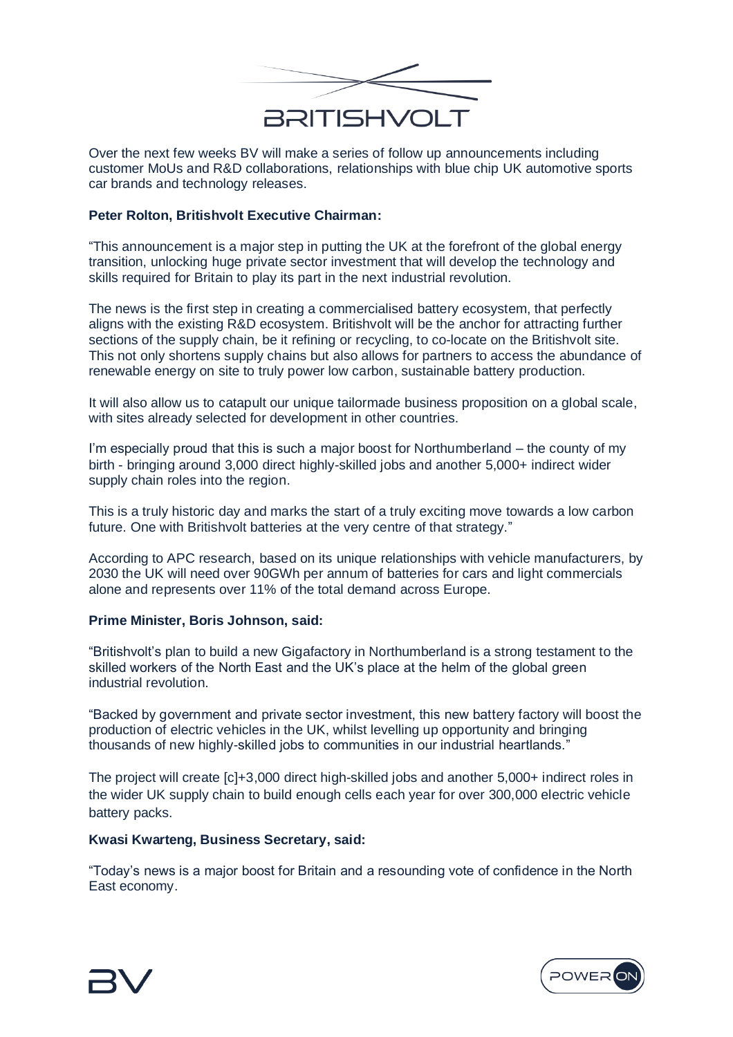

Over the next few weeks BV will make a series of follow up announcements including customer MoUs and R&D collaborations, relationships with blue chip UK automotive sports car brands and technology releases.

# **Peter Rolton, Britishvolt Executive Chairman:**

"This announcement is a major step in putting the UK at the forefront of the global energy transition, unlocking huge private sector investment that will develop the technology and skills required for Britain to play its part in the next industrial revolution.

The news is the first step in creating a commercialised battery ecosystem, that perfectly aligns with the existing R&D ecosystem. Britishvolt will be the anchor for attracting further sections of the supply chain, be it refining or recycling, to co-locate on the Britishvolt site. This not only shortens supply chains but also allows for partners to access the abundance of renewable energy on site to truly power low carbon, sustainable battery production.

It will also allow us to catapult our unique tailormade business proposition on a global scale, with sites already selected for development in other countries.

I'm especially proud that this is such a major boost for Northumberland – the county of my birth - bringing around 3,000 direct highly-skilled jobs and another 5,000+ indirect wider supply chain roles into the region.

This is a truly historic day and marks the start of a truly exciting move towards a low carbon future. One with Britishvolt batteries at the very centre of that strategy."

According to APC research, based on its unique relationships with vehicle manufacturers, by 2030 the UK will need over 90GWh per annum of batteries for cars and light commercials alone and represents over 11% of the total demand across Europe.

## **Prime Minister, Boris Johnson, said:**

"Britishvolt's plan to build a new Gigafactory in Northumberland is a strong testament to the skilled workers of the North East and the UK's place at the helm of the global green industrial revolution.

"Backed by government and private sector investment, this new battery factory will boost the production of electric vehicles in the UK, whilst levelling up opportunity and bringing thousands of new highly-skilled jobs to communities in our industrial heartlands."

The project will create [c]+3,000 direct high-skilled jobs and another 5,000+ indirect roles in the wider UK supply chain to build enough cells each year for over 300,000 electric vehicle battery packs.

## **Kwasi Kwarteng, Business Secretary, said:**

"Today's news is a major boost for Britain and a resounding vote of confidence in the North East economy.



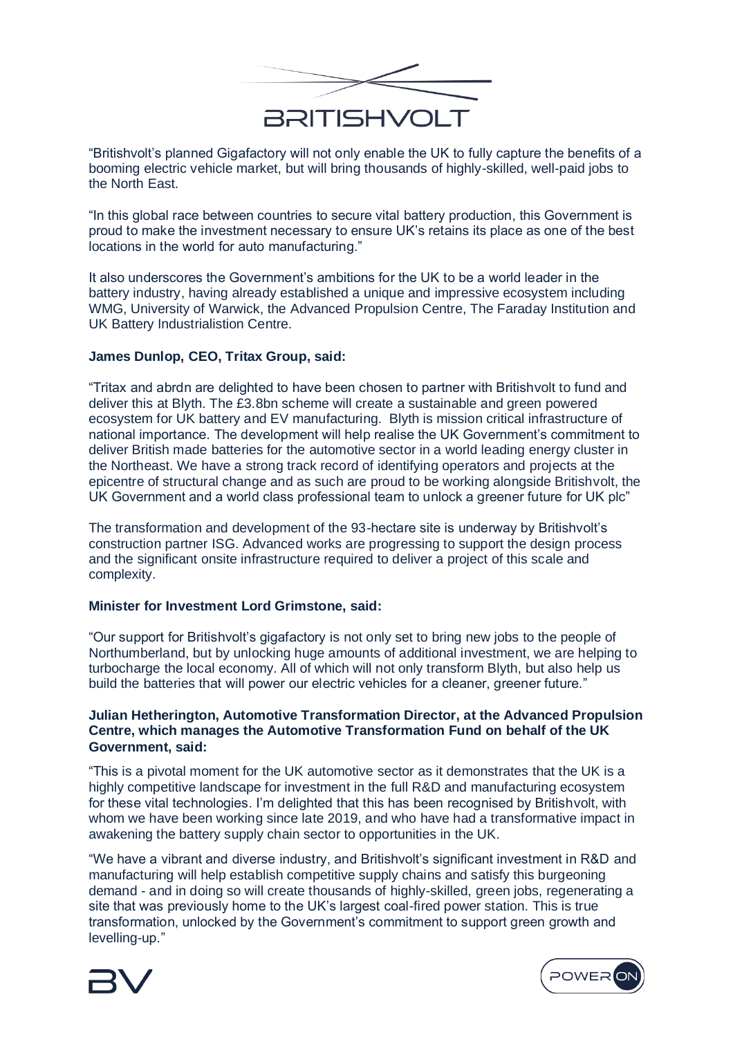

"Britishvolt's planned Gigafactory will not only enable the UK to fully capture the benefits of a booming electric vehicle market, but will bring thousands of highly-skilled, well-paid jobs to the North East.

"In this global race between countries to secure vital battery production, this Government is proud to make the investment necessary to ensure UK's retains its place as one of the best locations in the world for auto manufacturing."

It also underscores the Government's ambitions for the UK to be a world leader in the battery industry, having already established a unique and impressive ecosystem including WMG, University of Warwick, the Advanced Propulsion Centre, The Faraday Institution and UK Battery Industrialistion Centre.

## **James Dunlop, CEO, Tritax Group, said:**

"Tritax and abrdn are delighted to have been chosen to partner with Britishvolt to fund and deliver this at Blyth. The £3.8bn scheme will create a sustainable and green powered ecosystem for UK battery and EV manufacturing. Blyth is mission critical infrastructure of national importance. The development will help realise the UK Government's commitment to deliver British made batteries for the automotive sector in a world leading energy cluster in the Northeast. We have a strong track record of identifying operators and projects at the epicentre of structural change and as such are proud to be working alongside Britishvolt, the UK Government and a world class professional team to unlock a greener future for UK plc"

The transformation and development of the 93-hectare site is underway by Britishvolt's construction partner ISG. Advanced works are progressing to support the design process and the significant onsite infrastructure required to deliver a project of this scale and complexity.

## **Minister for Investment Lord Grimstone, said:**

"Our support for Britishvolt's gigafactory is not only set to bring new jobs to the people of Northumberland, but by unlocking huge amounts of additional investment, we are helping to turbocharge the local economy. All of which will not only transform Blyth, but also help us build the batteries that will power our electric vehicles for a cleaner, greener future."

# **Julian Hetherington, Automotive Transformation Director, at the Advanced Propulsion Centre, which manages the Automotive Transformation Fund on behalf of the UK Government, said:**

"This is a pivotal moment for the UK automotive sector as it demonstrates that the UK is a highly competitive landscape for investment in the full R&D and manufacturing ecosystem for these vital technologies. I'm delighted that this has been recognised by Britishvolt, with whom we have been working since late 2019, and who have had a transformative impact in awakening the battery supply chain sector to opportunities in the UK.

"We have a vibrant and diverse industry, and Britishvolt's significant investment in R&D and manufacturing will help establish competitive supply chains and satisfy this burgeoning demand - and in doing so will create thousands of highly-skilled, green jobs, regenerating a site that was previously home to the UK's largest coal-fired power station. This is true transformation, unlocked by the Government's commitment to support green growth and levelling-up."



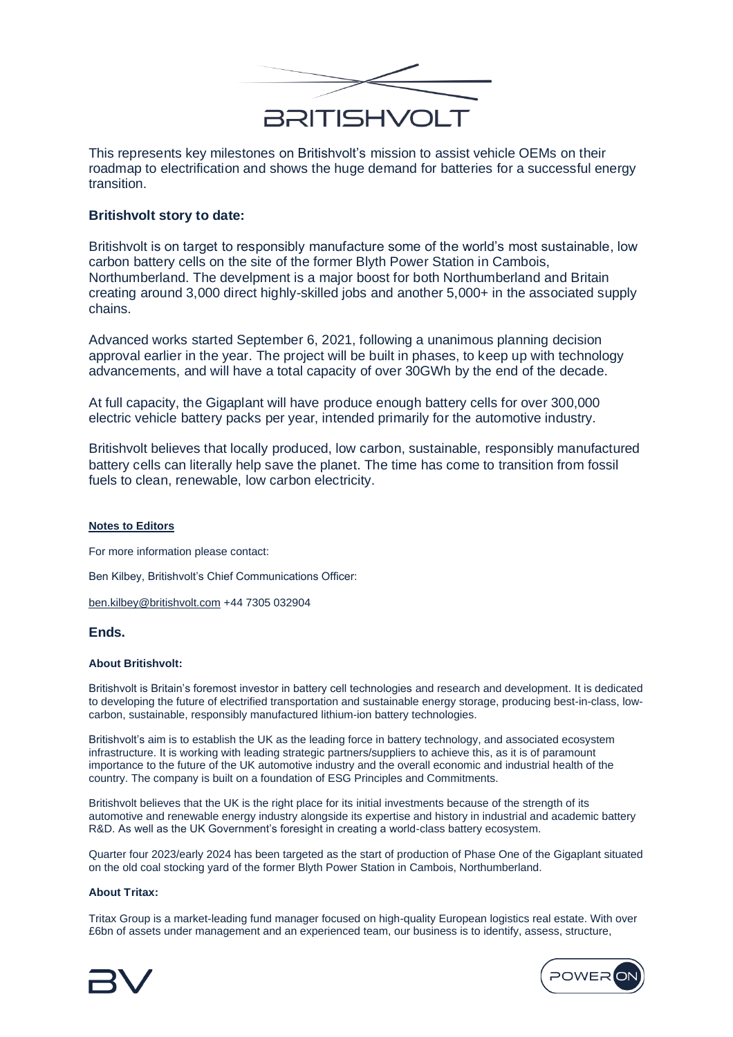

This represents key milestones on Britishvolt's mission to assist vehicle OEMs on their roadmap to electrification and shows the huge demand for batteries for a successful energy transition.

## **Britishvolt story to date:**

Britishvolt is on target to responsibly manufacture some of the world's most sustainable, low carbon battery cells on the site of the former Blyth Power Station in Cambois, Northumberland. The develpment is a major boost for both Northumberland and Britain creating around 3,000 direct highly-skilled jobs and another 5,000+ in the associated supply chains.

Advanced works started September 6, 2021, following a unanimous planning decision approval earlier in the year. The project will be built in phases, to keep up with technology advancements, and will have a total capacity of over 30GWh by the end of the decade.

At full capacity, the Gigaplant will have produce enough battery cells for over 300,000 electric vehicle battery packs per year, intended primarily for the automotive industry.

Britishvolt believes that locally produced, low carbon, sustainable, responsibly manufactured battery cells can literally help save the planet. The time has come to transition from fossil fuels to clean, renewable, low carbon electricity.

#### **Notes to Editors**

For more information please contact:

Ben Kilbey, Britishvolt's Chief Communications Officer:

[ben.kilbey@britishvolt.com](http://ben.kilbey@britishvolt.com) +44 7305 032904

#### **Ends.**

#### **About Britishvolt:**

Britishvolt is Britain's foremost investor in battery cell technologies and research and development. It is dedicated to developing the future of electrified transportation and sustainable energy storage, producing best-in-class, lowcarbon, sustainable, responsibly manufactured lithium-ion battery technologies.

Britishvolt's aim is to establish the UK as the leading force in battery technology, and associated ecosystem infrastructure. It is working with leading strategic partners/suppliers to achieve this, as it is of paramount importance to the future of the UK automotive industry and the overall economic and industrial health of the country. The company is built on a foundation of ESG Principles and Commitments.

Britishvolt believes that the UK is the right place for its initial investments because of the strength of its automotive and renewable energy industry alongside its expertise and history in industrial and academic battery R&D. As well as the UK Government's foresight in creating a world-class battery ecosystem.

Quarter four 2023/early 2024 has been targeted as the start of production of Phase One of the Gigaplant situated on the old coal stocking yard of the former Blyth Power Station in Cambois, Northumberland.

#### **About Tritax:**

Tritax Group is a market-leading fund manager focused on high-quality European logistics real estate. With over £6bn of assets under management and an experienced team, our business is to identify, assess, structure,